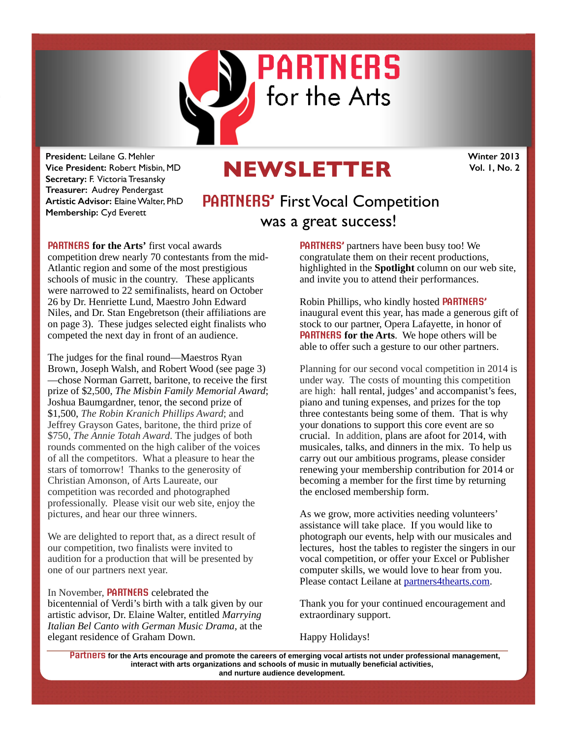

**President:** Leilane G. Mehler **Vice President:** Robert Misbin, MD **Secretary:** F. Victoria Tresansky **Treasurer:** Audrey Pendergast **Artistic Advisor:** Elaine Walter, PhD **Membership:** Cyd Everett

## **NEWSLETTER**

**Winter 2013 Vol. 1, No. 2** 

## **PARTNERS'** First Vocal Competition was a great success!

**PARTNERS for the Arts'** first vocal awards competition drew nearly 70 contestants from the mid-Atlantic region and some of the most prestigious schools of music in the country. These applicants were narrowed to 22 semifinalists, heard on October 26 by Dr. Henriette Lund, Maestro John Edward Niles, and Dr. Stan Engebretson (their affiliations are on page 3). These judges selected eight finalists who competed the next day in front of an audience.

The judges for the final round—Maestros Ryan Brown, Joseph Walsh, and Robert Wood (see page 3) —chose Norman Garrett, baritone, to receive the first prize of \$2,500, *The Misbin Family Memorial Award*; Joshua Baumgardner, tenor, the second prize of \$1,500, *The Robin Kranich Phillips Award*; and Jeffrey Grayson Gates, baritone, the third prize of \$750, *The Annie Totah Award*. The judges of both rounds commented on the high caliber of the voices of all the competitors. What a pleasure to hear the stars of tomorrow! Thanks to the generosity of Christian Amonson, of Arts Laureate, our competition was recorded and photographed professionally. Please visit our web site, enjoy the pictures, and hear our three winners.

We are delighted to report that, as a direct result of our competition, two finalists were invited to audition for a production that will be presented by one of our partners next year.

In November, **PARTNERS** celebrated the bicentennial of Verdi's birth with a talk given by our artistic advisor, Dr. Elaine Walter, entitled *Marrying Italian Bel Canto with German Music Drama,* at the elegant residence of Graham Down.

**PARTNERS'** partners have been busy too! We congratulate them on their recent productions, highlighted in the **Spotlight** column on our web site, and invite you to attend their performances.

Robin Phillips, who kindly hosted **PARTNERS'** inaugural event this year, has made a generous gift of stock to our partner, Opera Lafayette, in honor of **PARTNERS for the Arts**. We hope others will be able to offer such a gesture to our other partners.

Planning for our second vocal competition in 2014 is under way. The costs of mounting this competition are high: hall rental, judges' and accompanist's fees, piano and tuning expenses, and prizes for the top three contestants being some of them. That is why your donations to support this core event are so crucial. In addition, plans are afoot for 2014, with musicales, talks, and dinners in the mix. To help us carry out our ambitious programs, please consider renewing your membership contribution for 2014 or becoming a member for the first time by returning the enclosed membership form.

As we grow, more activities needing volunteers' assistance will take place. If you would like to photograph our events, help with our musicales and lectures, host the tables to register the singers in our vocal competition, or offer your Excel or Publisher computer skills, we would love to hear from you. Please contact Leilane at [partners4thearts.com](http://partners4thearts.com).

Thank you for your continued encouragement and extraordinary support.

Happy Holidays!

**Partners for the Arts encourage and promote the careers of emerging vocal artists not under professional management, interact with arts organizations and schools of music in mutually beneficial activities, and nurture audience development.**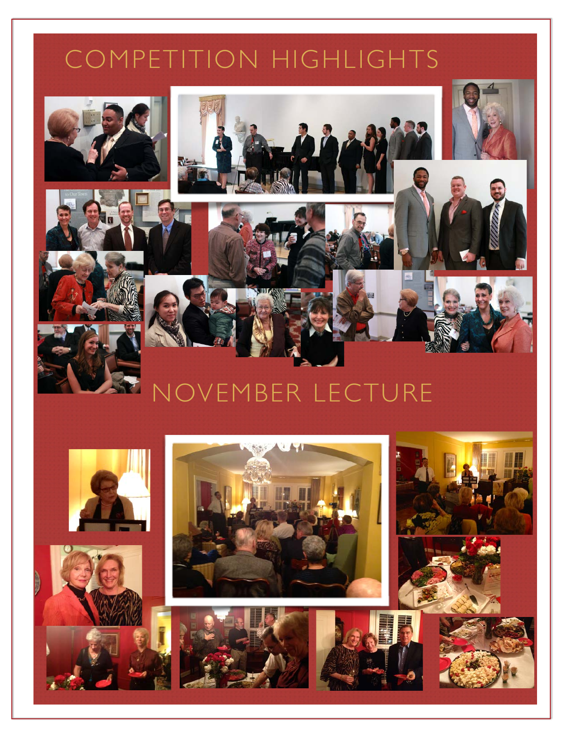## COMPETITION HIGHLIGHTS









# NOVEMBER LECTURE







![](_page_1_Picture_9.jpeg)

![](_page_1_Picture_10.jpeg)

![](_page_1_Picture_11.jpeg)

![](_page_1_Picture_12.jpeg)

![](_page_1_Picture_13.jpeg)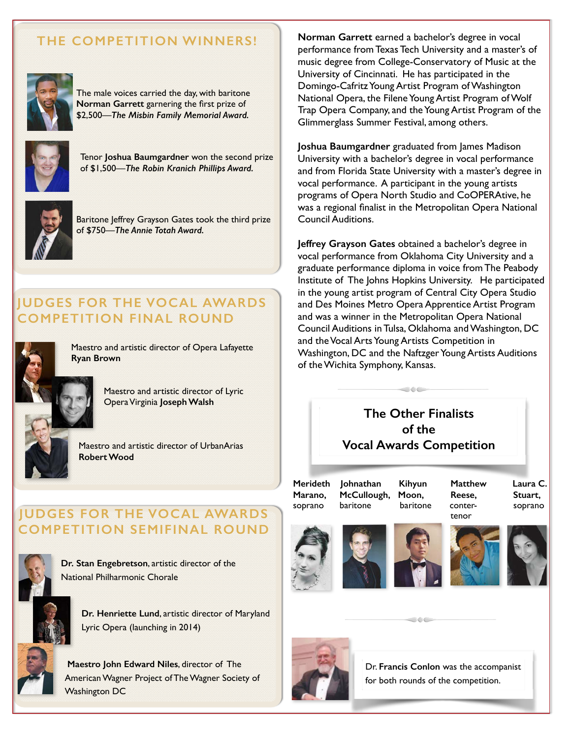## **THE COMPETITION WINNERS!**

![](_page_2_Picture_1.jpeg)

The male voices carried the day, with baritone **Norman Garrett** garnering the first prize of \$2,500—*The Misbin Family Memorial Award.* 

![](_page_2_Picture_3.jpeg)

Tenor **Joshua Baumgardner** won the second prize of \$1,500—*The Robin Kranich Phillips Award.* 

![](_page_2_Picture_5.jpeg)

Baritone Jeffrey Grayson Gates took the third prize of \$750—*The Annie Totah Award.*

## **JUDGES FOR THE VOCAL AWARDS COMPETITION FINAL ROUND**

![](_page_2_Picture_8.jpeg)

Maestro and artistic director of Opera Lafayette **Ryan Brown** 

> Maestro and artistic director of Lyric Opera Virginia **Joseph Walsh**

![](_page_2_Picture_11.jpeg)

Maestro and artistic director of UrbanArias **Robert Wood**

## **JUDGES FOR THE VOCAL AWARDS COMPETITION SEMIFINAL ROUND**

![](_page_2_Picture_14.jpeg)

**Dr. Stan Engebretson**, artistic director of the National Philharmonic Chorale

![](_page_2_Picture_16.jpeg)

**Dr. Henriette Lund**, artistic director of Maryland Lyric Opera (launching in 2014)

![](_page_2_Picture_18.jpeg)

**Maestro John Edward Niles**, director of The American Wagner Project of The Wagner Society of Washington DC

**Norman Garrett** earned a bachelor's degree in vocal performance from Texas Tech University and a master's of music degree from College-Conservatory of Music at the University of Cincinnati. He has participated in the Domingo-Cafritz Young Artist Program of Washington National Opera, the Filene Young Artist Program of Wolf Trap Opera Company, and the Young Artist Program of the Glimmerglass Summer Festival, among others.

**Joshua Baumgardner** graduated from James Madison University with a bachelor's degree in vocal performance and from Florida State University with a master's degree in vocal performance. A participant in the young artists programs of Opera North Studio and CoOPERAtive, he was a regional finalist in the Metropolitan Opera National Council Auditions.

**Jeffrey Grayson Gates** obtained a bachelor's degree in vocal performance from Oklahoma City University and a graduate performance diploma in voice from The Peabody Institute of The Johns Hopkins University. He participated in the young artist program of Central City Opera Studio and Des Moines Metro Opera Apprentice Artist Program and was a winner in the Metropolitan Opera National Council Auditions in Tulsa, Oklahoma and Washington, DC and the Vocal Arts Young Artists Competition in Washington, DC and the Naftzger Young Artists Auditions of the Wichita Symphony, Kansas.

## **The Other Finalists of the Vocal Awards Competition**

**Merideth Johnathan Kihyun Matthew Laura C. Marano, McCullough, Moon, Reese, Stuart,**  soprano baritone baritone conter- soprano

tenor and the state of the state of the state of the state of the state of the state of the state of the state

![](_page_2_Picture_28.jpeg)

![](_page_2_Picture_29.jpeg)

 $\circ \circ \circ$ 

![](_page_2_Picture_30.jpeg)

![](_page_2_Picture_31.jpeg)

![](_page_2_Picture_32.jpeg)

![](_page_2_Picture_33.jpeg)

Dr. **Francis Conlon** was the accompanist for both rounds of the competition.